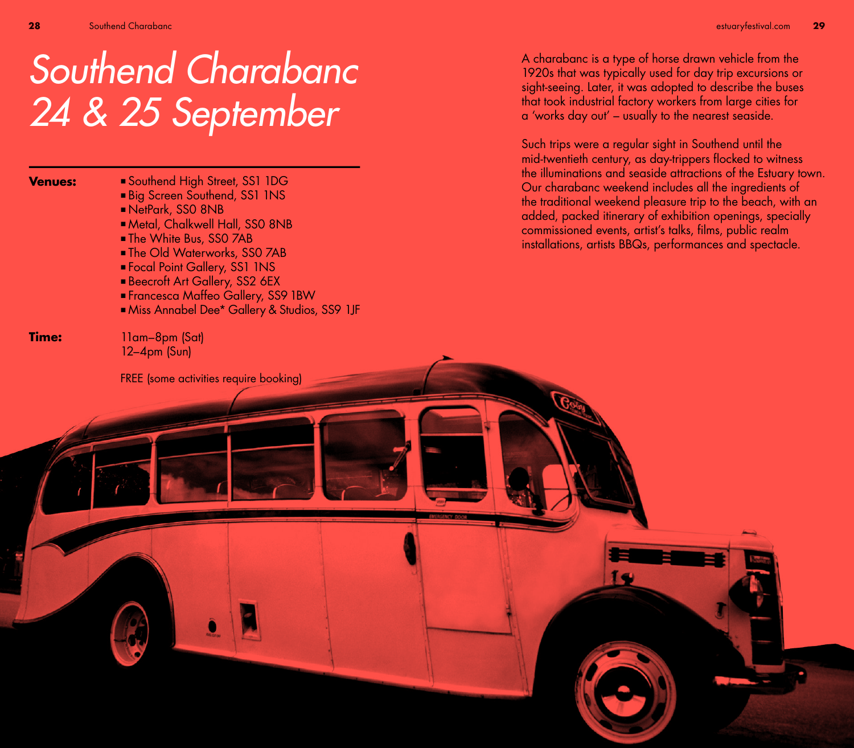## Southend Charabanc 24 & 25 September

**Venues:**

- Southend High Street, SS1 1DG Big Screen Southend, SS1 1NS
- NetPark, SS0 8NB
- Metal, Chalkwell Hall, SS0 8NB
- The White Bus, SSO 7AB
- The Old Waterworks, SS0 7AB
- Focal Point Gallery, SS1 1NS
- **Beecroft Art Gallery, SS2 6EX**
- Francesca Maffeo Gallery, SS9 1BW
- Miss Annabel Dee\* Gallery & Studios, SS9 1JF

**Time:**

11am–8pm (Sat) 12–4pm (Sun)

FREE (some activities require booking)

A charabanc is a type of horse drawn vehicle from the 1920s that was typically used for day trip excursions or sight-seeing. Later, it was adopted to describe the buses that took industrial factory workers from large cities for a 'works day out' – usually to the nearest seaside.

Such trips were a regular sight in Southend until the mid-twentieth century, as day-trippers flocked to witness the illuminations and seaside attractions of the Estuary town. Our charabanc weekend includes all the ingredients of the traditional weekend pleasure trip to the beach, with an added, packed itinerary of exhibition openings, specially commissioned events, artist's talks, films, public realm installations, artists BBQs, performances and spectacle.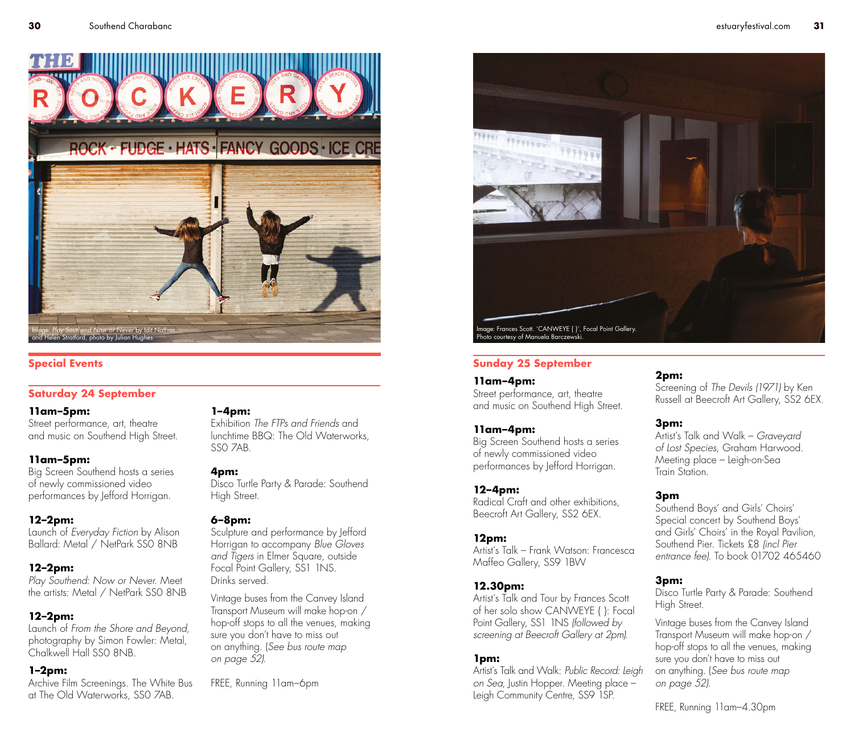

#### **Saturday 24 September**

#### **11am–5pm:**

Street performance, art, theatre and music on Southend High Street.

#### **11am–5pm:**

Big Screen Southend hosts a series of newly commissioned video performances by lefford Horrigan.

#### **12–2pm:**

Launch of *Everyday Fiction* by Alison Ballard: Metal / NetPark SS0 8NB

#### **12–2pm:**

*Play Southend: Now or Never*. Meet the artists: Metal / NetPark SS0 8NB

#### **12–2pm:**

Launch of *From the Shore and Beyond*, photography by Simon Fowler: Metal, Chalkwell Hall SS0 8NB.

#### **1–2pm:**

Archive Film Screenings. The White Bus at The Old Waterworks, SS0 7AB.

#### **1–4pm:**

Exhibition *The FTPs and Friends* and lunchtime BBQ: The Old Waterworks, SS0 7AB.

#### **4pm:**

Disco Turtle Party & Parade: Southend High Street.

#### **6–8pm:**

Sculpture and performance by Jefford Horrigan to accompany *Blue Gloves and Tigers* in Elmer Square, outside Focal Point Gallery, SS1 1NS. Drinks served.

Vintage buses from the Canvey Island Transport Museum will make hop-on / hop-off stops to all the venues, making sure you don't have to miss out on anything. (*See bus route map on page 52).*

FREE, Running 11am–6pm

# 77777700 Image: Frances Scott. 'CANWEYE { }', Focal Point Gallery. Photo courtesy of Manuela Barczewski.

#### **Special Events Sunday 25 September**

**11am–4pm:**

Street performance, art, theatre and music on Southend High Street.

#### **11am–4pm:**

Big Screen Southend hosts a series of newly commissioned video performances by Jefford Horrigan.

#### **12–4pm:**

Radical Craft and other exhibitions, Beecroft Art Gallery, SS2 6EX.

#### **12pm:**

Artist's Talk – Frank Watson: Francesca Maffeo Gallery, SS9 1BW

#### **12.30pm:**

Artist's Talk and Tour by Frances Scott of her solo show CANWEYE { }: Focal Point Gallery, SS1 1NS *(followed by screening at Beecroft Gallery at 2pm).*

#### **1pm:**

Artist's Talk and Walk: *Public Record: Leigh on Sea*, Justin Hopper. Meeting place – Leigh Community Centre, SS9 1SP.

#### **2pm:**

Screening of *The Devils (1971)* by Ken Russell at Beecroft Art Gallery, SS2 6EX.

#### **3pm:**

Artist's Talk and Walk – *Graveyard of Lost Species*, Graham Harwood. Meeting place – Leigh-on-Sea Train Station.

#### **3pm**

Southend Boys' and Girls' Choirs' Special concert by Southend Boys' and Girls' Choirs' in the Royal Pavilion, Southend Pier. Tickets £8 *(incl Pier entrance fee).* To book 01702 465460

#### **3pm:**

Disco Turtle Party & Parade: Southend High Street.

Vintage buses from the Canvey Island Transport Museum will make hop-on / hop-off stops to all the venues, making sure you don't have to miss out on anything. (*See bus route map on page 52).*

FREE, Running 11am–4.30pm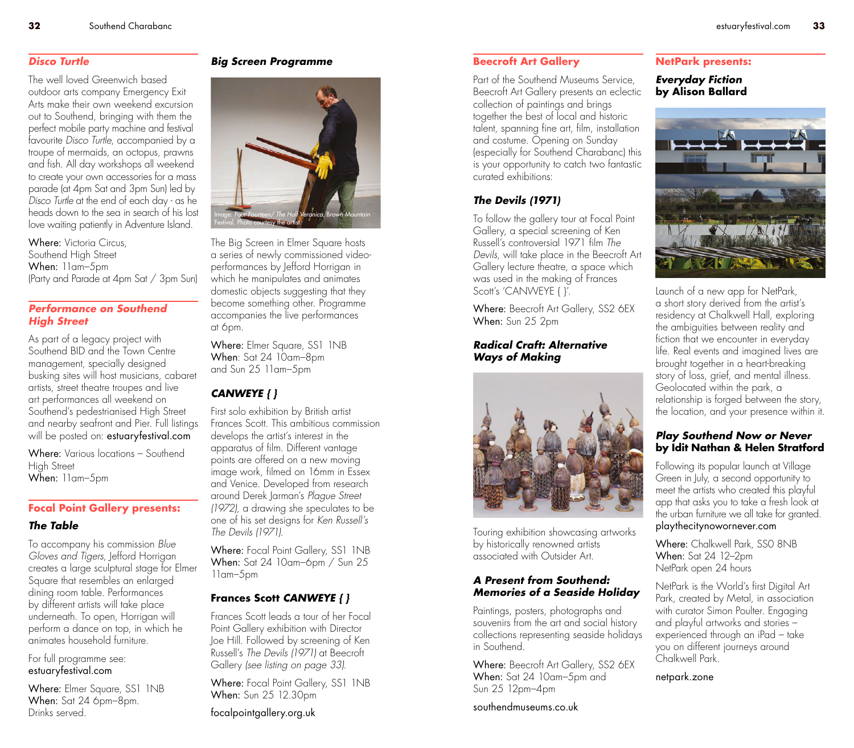#### *Disco Turtle*

The well loved Greenwich based outdoor arts company Emergency Exit Arts make their own weekend excursion out to Southend, bringing with them the perfect mobile party machine and festival favourite *Disco Turtle*, accompanied by a troupe of mermaids, an octopus, prawns and fish. All day workshops all weekend to create your own accessories for a mass parade (at 4pm Sat and 3pm Sun) led by *Disco Turtle* at the end of each day - as he heads down to the sea in search of his lost love waiting patiently in Adventure Island.

Where: Victoria Circus, Southend High Street When: 11am–5pm (Party and Parade at 4pm Sat / 3pm Sun)

#### *Performance on Southend High Street*

As part of a legacy project with Southend BID and the Town Centre management, specially designed busking sites will host musicians, cabaret artists, street theatre troupes and live art performances all weekend on Southend's pedestrianised High Street and nearby seafront and Pier. Full listings will be posted on: **estuaryfestival.com** 

Where: Various locations – Southend High Street When: 11am–5pm

#### **Focal Point Gallery presents:**

#### *The Table*

To accompany his commission *Blue Gloves and Tigers*, Jefford Horrigan creates a large sculptural stage for Elmer Square that resembles an enlarged dining room table. Performances by different artists will take place underneath. To open, Horrigan will perform a dance on top, in which he animates household furniture.

For full programme see: estuaryfestival.com

Where: Elmer Square, SS1 1NB When: Sat 24 6pm–8pm. Drinks served.

#### *Big Screen Programme*



The Big Screen in Elmer Square hosts a series of newly commissioned videoperformances by Jefford Horrigan in which he manipulates and animates domestic objects suggesting that they become something other. Programme accompanies the live performances at 6pm.

Where: Elmer Sauare, SS1 INB When: Sat 24 10am–8pm and Sun 25 11am–5pm

#### *CANWEYE { }*

First solo exhibition by British artist Frances Scott. This ambitious commission develops the artist's interest in the apparatus of film. Different vantage points are offered on a new moving image work, filmed on 16mm in Essex and Venice. Developed from research around Derek Jarman's *Plague Street (1972)*, a drawing she speculates to be one of his set designs for *Ken Russell's The Devils (1971)*.

Where: Focal Point Gallery, SS1 INB When: Sat 24 10am–6pm / Sun 25 11am–5pm

#### **Frances Scott** *CANWEYE { }*

Frances Scott leads a tour of her Focal Point Gallery exhibition with Director Joe Hill. Followed by screening of Ken Russell's *The Devils (1971)* at Beecroft Gallery *(see listing on page 33)*.

Where: Focal Point Gallery, SS1 INB When: Sun 25 12.30pm

focalpointgallery.org.uk

#### **Beecroft Art Gallery**

Part of the Southend Museums Service, Beecroft Art Gallery presents an eclectic collection of paintings and brings together the best of local and historic talent, spanning fine art, film, installation and costume. Opening on Sunday (especially for Southend Charabanc) this is your opportunity to catch two fantastic curated exhibitions:

### *The Devils (1971)*

To follow the gallery tour at Focal Point Gallery, a special screening of Ken Russell's controversial 1971 film *The Devils*, will take place in the Beecroft Art Gallery lecture theatre, a space which was used in the making of Frances Scott's 'CANWEYE { }'.

Where: Beecroft Art Gallery, SS2 6EX When: Sun 25 2pm

#### *Radical Craft: Alternative Ways of Making*



Touring exhibition showcasing artworks by historically renowned artists associated with Outsider Art.

#### *A Present from Southend: Memories of a Seaside Holiday*

Paintings, posters, photographs and souvenirs from the art and social history collections representing seaside holidays in Southend.

Where: Beecroft Art Gallery, SS2 6EX When: Sat 24 10am-5pm and Sun 25 12pm–4pm

southendmuseums.co.uk

#### **NetPark presents:**

*Everyday Fiction* **by Alison Ballard**



Launch of a new app for NetPark, a short story derived from the artist's residency at Chalkwell Hall, exploring the ambiguities between reality and fiction that we encounter in everyday life. Real events and imagined lives are brought together in a heart-breaking story of loss, grief, and mental illness. Geolocated within the park, a relationship is forged between the story, the location, and your presence within it.

#### *Play Southend Now or Never*  **by Idit Nathan & Helen Stratford**

Following its popular launch at Village Green in July, a second opportunity to meet the artists who created this playful app that asks you to take a fresh look at the urban furniture we all take for granted. playthecitynowornever.com

Where: Chalkwell Park, SS0 8NB When: Sat 24 12–2pm NetPark open 24 hours

NetPark is the World's first Digital Art Park, created by Metal, in association with curator Simon Poulter. Engaging and playful artworks and stories – experienced through an iPad – take you on different journeys around Chalkwell Park.

netpark.zone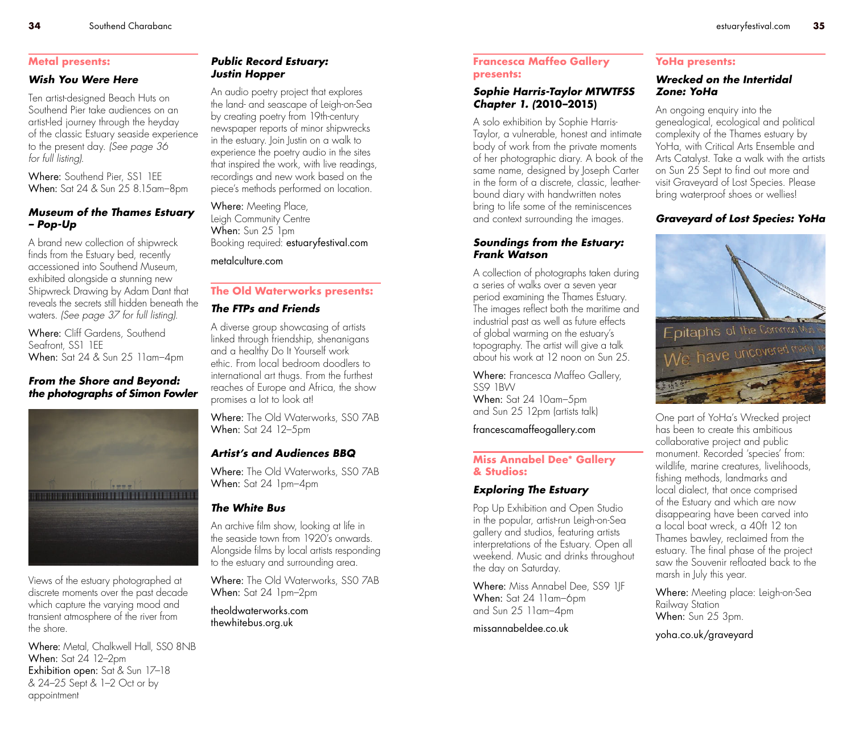#### **Metal presents:**

#### *Wish You Were Here*

Ten artist-designed Beach Huts on Southend Pier take audiences on an artist-led journey through the heyday of the classic Estuary seaside experience to the present day. *(See page 36 for full listing)*.

Where: Southend Pier, SS1 1FF When: Sat 24 & Sun 25 8.15am–8pm

#### *Museum of the Thames Estuary – Pop-Up*

A brand new collection of shipwreck finds from the Estuary bed, recently accessioned into Southend Museum, exhibited alongside a stunning new Shipwreck Drawing by Adam Dant that reveals the secrets still hidden beneath the waters. *(See page 37 for full listing)*.

Where: Cliff Gardens, Southend Seafront, SS1 1FF When: Sat 24 & Sun 25 11am–4pm

#### *From the Shore and Beyond: the photographs of Simon Fowler*



Views of the estuary photographed at discrete moments over the past decade which capture the varying mood and transient atmosphere of the river from the shore.

Where: Metal, Chalkwell Hall, SSO 8NB When: Sat 24 12–2pm Exhibition open: Sat & Sun 17–18 & 24–25 Sept & 1–2 Oct or by appointment

#### *Public Record Estuary: Justin Hopper*

An audio poetry project that explores the land- and seascape of Leigh-on-Sea by creating poetry from 19th-century newspaper reports of minor shipwrecks in the estuary. Join Justin on a walk to experience the poetry audio in the sites that inspired the work, with live readings, recordings and new work based on the piece's methods performed on location.

Where: Meeting Place, Leigh Community Centre When: Sun 25 1pm Booking required: estuaryfestival.com

metalculture.com

#### **The Old Waterworks presents:**

#### *The FTPs and Friends*

A diverse group showcasing of artists linked through friendship, shenanigans and a healthy Do It Yourself work ethic. From local bedroom doodlers to international art thugs. From the furthest reaches of Europe and Africa, the show promises a lot to look at!

Where: The Old Waterworks, SSO 7AB When: Sat 24 12–5pm

#### *Artist's and Audiences BBQ*

Where: The Old Waterworks, SSO 7AB When: Sat 24 1pm–4pm

#### *The White Bus*

An archive film show, looking at life in the seaside town from 1920's onwards. Alongside films by local artists responding to the estuary and surrounding area.

Where: The Old Waterworks, SS0 7AB When: Sat 24 1pm–2pm

theoldwaterworks.com thewhitebus.org.uk

#### **Francesca Maffeo Gallery presents:**

#### *Sophie Harris-Taylor MTWTFSS Chapter 1. (***2010–2015)**

A solo exhibition by Sophie Harris-Taylor, a vulnerable, honest and intimate body of work from the private moments of her photographic diary. A book of the same name, designed by Joseph Carter in the form of a discrete, classic, leatherbound diary with handwritten notes bring to life some of the reminiscences and context surrounding the images.

#### *Soundings from the Estuary: Frank Watson*

A collection of photographs taken during a series of walks over a seven year period examining the Thames Estuary. The images reflect both the maritime and industrial past as well as future effects of global warming on the estuary's topography. The artist will give a talk about his work at 12 noon on Sun 25.

Where: Francesca Maffeo Gallery, SSQ 1BW When: Sat 24 10am–5pm and Sun 25 12pm (artists talk)

francescamaffeogallery.com

#### **Miss Annabel Dee\* Gallery & Studios:**

#### *Exploring The Estuary*

Pop Up Exhibition and Open Studio in the popular, artist-run Leigh-on-Sea gallery and studios, featuring artists interpretations of the Estuary. Open all weekend. Music and drinks throughout the day on Saturday.

Where: Miss Annabel Dee, SS9 1JF When: Sat 24 11am–6pm and Sun 25 11am–4pm

missannabeldee.co.uk

#### **YoHa presents:**

#### *Wrecked on the Intertidal Zone: YoHa*

An ongoing enquiry into the genealogical, ecological and political complexity of the Thames estuary by YoHa, with Critical Arts Ensemble and Arts Catalyst. Take a walk with the artists on Sun 25 Sept to find out more and visit Graveyard of Lost Species. Please bring waterproof shoes or wellies!

#### *Graveyard of Lost Species: YoHa*



One part of YoHa's Wrecked project has been to create this ambitious collaborative project and public monument. Recorded 'species' from: wildlife, marine creatures, livelihoods, fishing methods, landmarks and local dialect, that once comprised of the Estuary and which are now disappearing have been carved into a local boat wreck, a 40ft 12 ton Thames bawley, reclaimed from the estuary. The final phase of the project saw the Souvenir refloated back to the marsh in July this year.

Where: Meeting place: Leigh-on-Sea Railway Station When: Sun 25 3pm.

yoha.co.uk/graveyard